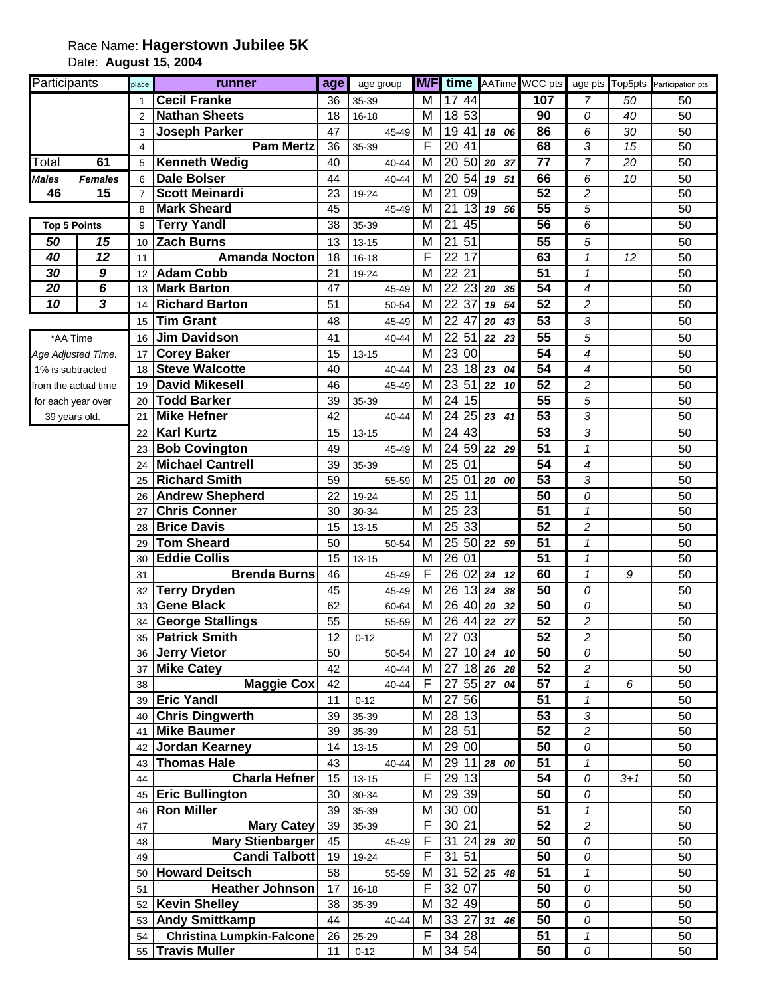## Race Name: **Hagerstown Jubilee 5K** Date: **August 15, 2004**

| Participants         |                         | place                   | runner                           | age | age group | M/F                     |                                    |                          |                 |                          |         | time AATime WCC pts age pts Top5pts Participation pts |
|----------------------|-------------------------|-------------------------|----------------------------------|-----|-----------|-------------------------|------------------------------------|--------------------------|-----------------|--------------------------|---------|-------------------------------------------------------|
|                      |                         |                         | <b>Cecil Franke</b>              | 36  | 35-39     | М                       | 17 44                              |                          | 107             | 7                        | 50      | 50                                                    |
|                      |                         |                         | <b>Nathan Sheets</b>             | 18  | $16 - 18$ | М                       | 18 53                              |                          | 90              | 0                        | 40      | 50                                                    |
|                      |                         | 3                       | <b>Joseph Parker</b>             | 47  | 45-49     | M                       | 19 41                              | 18 06                    | 86              | 6                        | 30      | 50                                                    |
|                      |                         | $\overline{\mathbf{4}}$ | <b>Pam Mertz</b>                 | 36  | 35-39     | F                       | $\overline{20}$<br>41              |                          | 68              | 3                        | 15      | 50                                                    |
| Total                | 61                      | 5                       | <b>Kenneth Wedig</b>             | 40  | 40-44     | М                       |                                    | 20 50 20 37              | $\overline{77}$ | $\overline{7}$           | 20      | 50                                                    |
| <b>Males</b>         | <b>Females</b>          | 6                       | <b>Dale Bolser</b>               | 44  | 40-44     | M                       | $\overline{54}$<br>20              | 19 51                    | 66              | 6                        | 10      | 50                                                    |
| 15<br>46             |                         | $\overline{7}$          | <b>Scott Meinardi</b>            | 23  | 19-24     | $\overline{\mathsf{M}}$ | $\overline{21}$<br>$\overline{09}$ |                          | 52              | $\overline{c}$           |         | 50                                                    |
|                      |                         | 8                       | <b>Mark Sheard</b>               | 45  | 45-49     | $\overline{\mathsf{M}}$ | $\overline{21}$<br>13              | 19 56                    | 55              | 5                        |         | 50                                                    |
| <b>Top 5 Points</b>  |                         | 9                       | <b>Terry Yandl</b>               | 38  | 35-39     | М                       | $\overline{21}$<br>45              |                          | 56              | 6                        |         | 50                                                    |
| 50                   | 15                      | 10                      | <b>Zach Burns</b>                | 13  | 13-15     | М                       | 21<br>51                           |                          | 55              | 5                        |         | 50                                                    |
| 40                   | 12                      | 11                      | <b>Amanda Nocton</b>             | 18  | $16 - 18$ | F                       | 22 17                              |                          | 63              | $\overline{1}$           | 12      | 50                                                    |
| 30                   | 9                       | 12                      | <b>Adam Cobb</b>                 | 21  | 19-24     | M                       | 22 21                              |                          | 51              | $\mathcal I$             |         | 50                                                    |
| 20                   | 6                       | 13                      | <b>Mark Barton</b>               | 47  | 45-49     | M                       | 22                                 | $23$ 20<br>35            | 54              | 4                        |         | 50                                                    |
| $\overline{10}$      | $\overline{\mathbf{3}}$ | 14                      | <b>Richard Barton</b>            | 51  | 50-54     | М                       | 22 37                              | 54<br>19                 | 52              | $\overline{c}$           |         | 50                                                    |
|                      |                         | 15                      | <b>Tim Grant</b>                 | 48  | 45-49     | М                       | 22 47                              | 20<br>43                 | 53              | 3                        |         | 50                                                    |
| *AA Time             |                         | 16                      | <b>Jim Davidson</b>              | 41  | 40-44     | M                       | 22 51                              | 22 23                    | 55              | 5                        |         | 50                                                    |
| Age Adjusted Time.   |                         | 17                      | <b>Corey Baker</b>               | 15  | $13 - 15$ | M                       | 23 00                              |                          | 54              | $\overline{\mathcal{A}}$ |         | 50                                                    |
| 1% is subtracted     |                         | 18                      | <b>Steve Walcotte</b>            | 40  | 40-44     | M                       |                                    | $\overline{23}$ 18 23 04 | 54              | $\overline{\mathcal{A}}$ |         | 50                                                    |
| from the actual time |                         | 19                      | <b>David Mikesell</b>            | 46  | 45-49     | M                       | 23 51                              | 22 10                    | 52              | $\overline{c}$           |         | 50                                                    |
| for each year over   |                         | 20                      | <b>Todd Barker</b>               | 39  | 35-39     | м                       | 24 15                              |                          | 55              | 5                        |         | 50                                                    |
| 39 years old.        |                         | 21                      | <b>Mike Hefner</b>               | 42  | 40-44     | M                       | 24                                 | $25$ 23 41               | $\overline{53}$ | 3                        |         | 50                                                    |
|                      |                         | 22                      | <b>Karl Kurtz</b>                | 15  | 13-15     | M                       | 24<br>43                           |                          | 53              | 3                        |         | 50                                                    |
|                      |                         | 23                      | <b>Bob Covington</b>             | 49  | 45-49     | М                       |                                    | 24 59 22 29              | $\overline{51}$ | $\mathcal I$             |         | 50                                                    |
|                      |                         | 24                      | <b>Michael Cantrell</b>          | 39  | 35-39     | М                       | 25 01                              |                          | 54              | $\overline{4}$           |         | 50                                                    |
|                      |                         | 25                      | <b>Richard Smith</b>             | 59  | 55-59     | M                       | 25 01                              | 20 00                    | 53              | 3                        |         | 50                                                    |
|                      |                         | 26                      | <b>Andrew Shepherd</b>           | 22  | 19-24     | M                       | 25 11                              |                          | 50              | 0                        |         | 50                                                    |
|                      |                         | 27                      | <b>Chris Conner</b>              | 30  | 30-34     | M                       | 25 23                              |                          | 51              | $\mathcal I$             |         | 50                                                    |
|                      |                         | 28                      | <b>Brice Davis</b>               | 15  | $13 - 15$ | M                       | 25 33                              |                          | 52              | $\overline{c}$           |         | 50                                                    |
|                      |                         | 29                      | <b>Tom Sheard</b>                | 50  | 50-54     | M                       |                                    | 25 50 22 59              | 51              | $\mathbf{1}$             |         | 50                                                    |
|                      |                         | 30                      | <b>Eddie Collis</b>              | 15  | 13-15     | M                       | 26 01                              |                          | $\overline{51}$ | $\mathbf{1}$             |         | 50                                                    |
|                      |                         | 31                      | <b>Brenda Burns</b>              | 46  | 45-49     | F                       | 26 02 24                           | 12                       | 60              | $\mathcal I$             | 9       | 50                                                    |
|                      |                         | 32                      | <b>Terry Dryden</b>              | 45  | 45-49     | M                       | 26                                 | $13$ 24<br>38            | 50              | 0                        |         | 50                                                    |
|                      |                         | 33                      | <b>Gene Black</b>                | 62  | 60-64     | M                       | 26 40 20                           | 32                       | 50              | 0                        |         | 50                                                    |
|                      |                         | 34                      | <b>George Stallings</b>          | 55  | 55-59     | М                       |                                    | 26 44 22 27              | $\overline{52}$ | $\overline{c}$           |         | 50                                                    |
|                      |                         | 35                      | <b>Patrick Smith</b>             | 12  | $0 - 12$  | M                       | 27 03                              |                          | $\overline{52}$ | $\overline{c}$           |         | 50                                                    |
|                      |                         | 36                      | <b>Jerry Vietor</b>              | 50  | 50-54     | М                       |                                    | 27 10 24 10              | 50              | 0                        |         | 50                                                    |
|                      |                         | 37                      | <b>Mike Catey</b>                | 42  | 40-44     | M                       |                                    | 27 18 26 28              | 52              | 2                        |         | 50                                                    |
|                      |                         | 38                      | <b>Maggie Cox</b>                | 42  | 40-44     | F                       | 27                                 | 55 27 04                 | 57              | $\mathbf{1}$             | 6       | 50                                                    |
|                      |                         |                         | 39 Eric Yandl                    | 11  | $0 - 12$  | M                       | 27<br>56                           |                          | 51              | $\mathbf{1}$             |         | 50                                                    |
|                      |                         |                         | 40 Chris Dingwerth               | 39  | 35-39     | M                       | 28 13                              |                          | 53              | 3                        |         | 50                                                    |
|                      |                         |                         | 41 Mike Baumer                   | 39  | 35-39     | M                       | $\overline{28}$ 51                 |                          | 52              | $\overline{c}$           |         | 50                                                    |
|                      |                         |                         | 42 Jordan Kearney                | 14  | $13 - 15$ | M                       | 29 00                              |                          | 50              | 0                        |         | 50                                                    |
|                      |                         | 43                      | <b>Thomas Hale</b>               | 43  | 40-44     | М                       |                                    | 29112800                 | 51              | $\mathbf{1}$             |         | 50                                                    |
|                      |                         | 44                      | <b>Charla Hefner</b>             | 15  | $13 - 15$ | F                       | 29 13                              |                          | 54              | 0                        | $3 + 1$ | 50                                                    |
|                      |                         | 45                      | <b>Eric Bullington</b>           | 30  | 30-34     | M                       | 29 39                              |                          | 50              | 0                        |         | 50                                                    |
|                      |                         | 46                      | <b>Ron Miller</b>                | 39  | 35-39     | M                       | 30 00                              |                          | 51              | 1                        |         | 50                                                    |
|                      |                         | 47                      | <b>Mary Catey</b>                | 39  | 35-39     | F                       | 30 21                              |                          | 52              | $\overline{c}$           |         | 50                                                    |
|                      |                         | 48                      | <b>Mary Stienbarger</b>          | 45  | 45-49     | F                       | 31                                 | $24$ 29 30               | 50              | 0                        |         | 50                                                    |
|                      |                         | 49                      | <b>Candi Talbott</b>             | 19  | 19-24     | F                       | 31<br>51                           |                          | 50              | 0                        |         | 50                                                    |
|                      |                         | 50                      | <b>Howard Deitsch</b>            | 58  | 55-59     | M                       | 31                                 | $52$ 25 48               | 51              | $\mathbf{1}$             |         | 50                                                    |
|                      |                         | 51                      | <b>Heather Johnson</b>           | 17  | $16 - 18$ | F                       | 32 07                              |                          | 50              | 0                        |         | 50                                                    |
|                      |                         |                         | 52 Kevin Shelley                 | 38  | 35-39     | M                       | 32 49                              |                          | 50              | 0                        |         | 50                                                    |
|                      |                         |                         | 53 Andy Smittkamp                | 44  | 40-44     | M                       |                                    | 33 27 31 46              | 50              | 0                        |         | 50                                                    |
|                      |                         | 54                      | <b>Christina Lumpkin-Falcone</b> | 26  | 25-29     | F                       | $\overline{3}4$ 28                 |                          | 51              | $\mathbf{1}$             |         | 50                                                    |
|                      |                         | 55                      | <b>Travis Muller</b>             | 11  | $0 - 12$  | М                       | 34 54                              |                          | 50              | 0                        |         | 50                                                    |